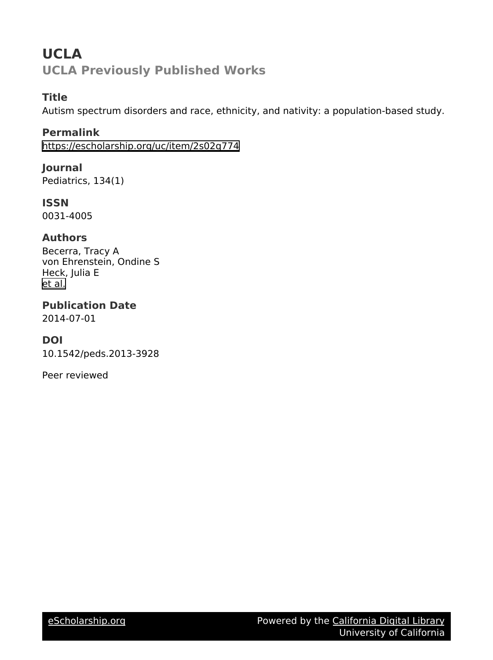# **UCLA UCLA Previously Published Works**

## **Title**

Autism spectrum disorders and race, ethnicity, and nativity: a population-based study.

## **Permalink**

<https://escholarship.org/uc/item/2s02q774>

# **Journal**

Pediatrics, 134(1)

# **ISSN**

0031-4005

## **Authors**

Becerra, Tracy A von Ehrenstein, Ondine S Heck, Julia E [et al.](https://escholarship.org/uc/item/2s02q774#author)

### **Publication Date**

2014-07-01

## **DOI**

10.1542/peds.2013-3928

Peer reviewed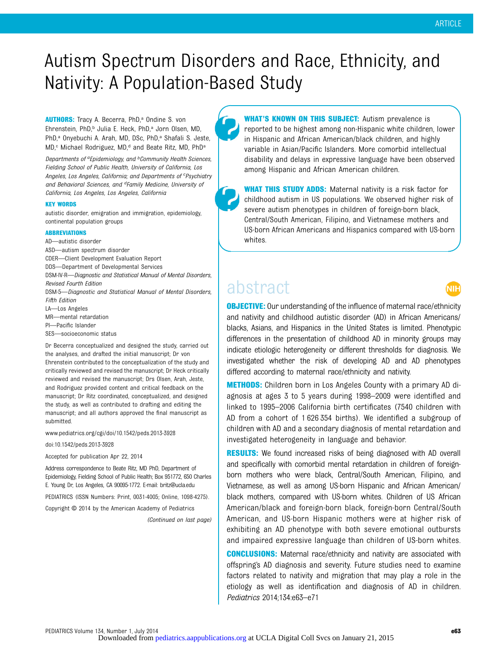NIH

# Autism Spectrum Disorders and Race, Ethnicity, and Nativity: A Population-Based Study

AUTHORS: Tracy A. Becerra, PhD,<sup>a</sup> Ondine S. von Ehrenstein, PhD,<sup>b</sup> Julia E. Heck, PhD,<sup>a</sup> Jorn Olsen, MD, PhD,<sup>a</sup> Onyebuchi A. Arah, MD, DSc, PhD,<sup>a</sup> Shafali S. Jeste, MD,<sup>c</sup> Michael Rodriguez, MD,<sup>d</sup> and Beate Ritz, MD, PhD<sup>a</sup>

Departments of <sup>a</sup>Epidemiology, and <sup>b</sup>Community Health Sciences, Fielding School of Public Health, University of California, Los Angeles, Los Angeles, California; and Departments of <sup>c</sup>Psychiatry and Behavioral Sciences, and <sup>d</sup>Family Medicine, University of California, Los Angeles, Los Angeles, California

#### KEY WORDS

autistic disorder, emigration and immigration, epidemiology, continental population groups

#### ABBREVIATIONS

AD—autistic disorder

- ASD—autism spectrum disorder
- CDER—Client Development Evaluation Report
- DDS—Department of Developmental Services

DSM-IV-R—Diagnostic and Statistical Manual of Mental Disorders, Revised Fourth Edition

DSM-5—Diagnostic and Statistical Manual of Mental Disorders, Fifth Edition

LA—Los Angeles

MR—mental retardation

PI—Pacific Islander

SES—socioeconomic status

Dr Becerra conceptualized and designed the study, carried out the analyses, and drafted the initial manuscript; Dr von Ehrenstein contributed to the conceptualization of the study and critically reviewed and revised the manuscript; Dr Heck critically reviewed and revised the manuscript; Drs Olsen, Arah, Jeste, and Rodriguez provided content and critical feedback on the manuscript; Dr Ritz coordinated, conceptualized, and designed the study, as well as contributed to drafting and editing the manuscript; and all authors approved the final manuscript as submitted.

www.pediatrics.org/cgi/doi/10.1542/peds.2013-3928

doi:10.1542/peds.2013-3928

Accepted for publication Apr 22, 2014

Address correspondence to Beate Ritz, MD PhD, Department of Epidemiology, Fielding School of Public Health; Box 951772, 650 Charles E. Young Dr, Los Angeles, CA 90095-1772. E-mail: [britz@ucla.edu](mailto:britz@ucla.edu)

PEDIATRICS (ISSN Numbers: Print, 0031-4005; Online, 1098-4275).

Copyright © 2014 by the American Academy of Pediatrics

(Continued on last page)

WHAT'S KNOWN ON THIS SUBJECT: Autism prevalence is reported to be highest among non-Hispanic white children, lower in Hispanic and African American/black children, and highly variable in Asian/Pacific Islanders. More comorbid intellectual disability and delays in expressive language have been observed among Hispanic and African American children.

WHAT THIS STUDY ADDS: Maternal nativity is a risk factor for childhood autism in US populations. We observed higher risk of severe autism phenotypes in children of foreign-born black, Central/South American, Filipino, and Vietnamese mothers and US-born African Americans and Hispanics compared with US-born whites.

# abstract

**OBJECTIVE:** Our understanding of the influence of maternal race/ethnicity and nativity and childhood autistic disorder (AD) in African Americans/ blacks, Asians, and Hispanics in the United States is limited. Phenotypic differences in the presentation of childhood AD in minority groups may indicate etiologic heterogeneity or different thresholds for diagnosis. We investigated whether the risk of developing AD and AD phenotypes differed according to maternal race/ethnicity and nativity.

**METHODS:** Children born in Los Angeles County with a primary AD diagnosis at ages 3 to 5 years during 1998–2009 were identified and linked to 1995–2006 California birth certificates (7540 children with AD from a cohort of 1 626 354 births). We identified a subgroup of children with AD and a secondary diagnosis of mental retardation and investigated heterogeneity in language and behavior.

**RESULTS:** We found increased risks of being diagnosed with AD overall and specifically with comorbid mental retardation in children of foreignborn mothers who were black, Central/South American, Filipino, and Vietnamese, as well as among US-born Hispanic and African American/ black mothers, compared with US-born whites. Children of US African American/black and foreign-born black, foreign-born Central/South American, and US-born Hispanic mothers were at higher risk of exhibiting an AD phenotype with both severe emotional outbursts and impaired expressive language than children of US-born whites.

**CONCLUSIONS:** Maternal race/ethnicity and nativity are associated with offspring's AD diagnosis and severity. Future studies need to examine factors related to nativity and migration that may play a role in the etiology as well as identification and diagnosis of AD in children. Pediatrics 2014;134:e63–e71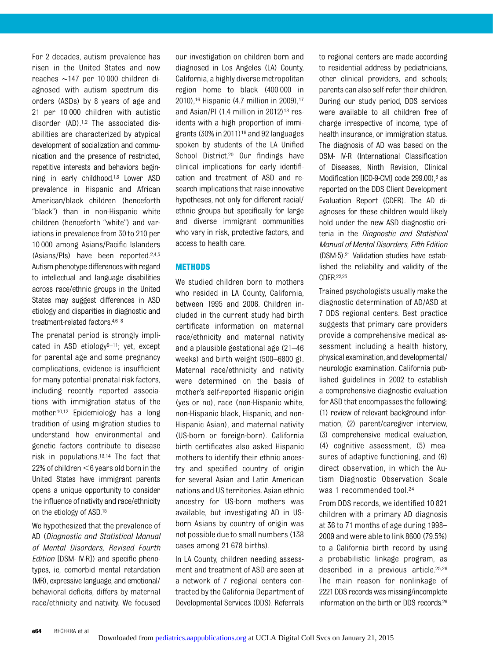For 2 decades, autism prevalence has risen in the United States and now reaches ∼147 per 10 000 children diagnosed with autism spectrum disorders (ASDs) by 8 years of age and 21 per 10 000 children with autistic disorder (AD).1,2 The associated disabilities are characterized by atypical development of socialization and communication and the presence of restricted, repetitive interests and behaviors beginning in early childhood.1,3 Lower ASD prevalence in Hispanic and African American/black children (henceforth "black") than in non-Hispanic white children (henceforth "white") and variations in prevalence from 30 to 210 per 10 000 among Asians/Pacific Islanders (Asians/PIs) have been reported.2,4,5 Autism phenotype differences with regard to intellectual and language disabilities across race/ethnic groups in the United States may suggest differences in ASD etiology and disparities in diagnostic and treatment-related factors.4,6–<sup>8</sup>

The prenatal period is strongly implicated in ASD etiology $9-11$ ; yet, except for parental age and some pregnancy complications, evidence is insufficient for many potential prenatal risk factors, including recently reported associations with immigration status of the mother.10,12 Epidemiology has a long tradition of using migration studies to understand how environmental and genetic factors contribute to disease risk in populations.13,14 The fact that 22% of children  $\leq$ 6 years old born in the United States have immigrant parents opens a unique opportunity to consider the influence of nativity and race/ethnicity on the etiology of ASD.15

We hypothesized that the prevalence of AD (Diagnostic and Statistical Manual of Mental Disorders, Revised Fourth Edition [DSM- IV-R]) and specific phenotypes, ie, comorbid mental retardation (MR), expressive language, and emotional/ behavioral deficits, differs by maternal race/ethnicity and nativity. We focused

our investigation on children born and diagnosed in Los Angeles (LA) County, California, a highly diverse metropolitan region home to black (400 000 in 2010),16 Hispanic (4.7 million in 2009),17 and Asian/PI (1.4 million in 2012)<sup>18</sup> residents with a high proportion of immigrants (30% in 2011)<sup>19</sup> and 92 languages spoken by students of the LA Unified School District.20 Our findings have clinical implications for early identification and treatment of ASD and research implications that raise innovative hypotheses, not only for different racial/ ethnic groups but specifically for large and diverse immigrant communities who vary in risk, protective factors, and access to health care.

#### **METHODS**

We studied children born to mothers who resided in LA County, California. between 1995 and 2006. Children included in the current study had birth certificate information on maternal race/ethnicity and maternal nativity and a plausible gestational age (21–46 weeks) and birth weight (500–6800 g). Maternal race/ethnicity and nativity were determined on the basis of mother's self-reported Hispanic origin (yes or no), race (non-Hispanic white, non-Hispanic black, Hispanic, and non-Hispanic Asian), and maternal nativity (US-born or foreign-born). California birth certificates also asked Hispanic mothers to identify their ethnic ancestry and specified country of origin for several Asian and Latin American nations and US territories. Asian ethnic ancestry for US-born mothers was available, but investigating AD in USborn Asians by country of origin was not possible due to small numbers (138 cases among 21 678 births).

In LA County, children needing assessment and treatment of ASD are seen at a network of 7 regional centers contracted by the California Department of Developmental Services (DDS). Referrals

to regional centers are made according to residential address by pediatricians, other clinical providers, and schools; parents can also self-refer their children. During our study period, DDS services were available to all children free of charge irrespective of income, type of health insurance, or immigration status. The diagnosis of AD was based on the DSM- IV-R (International Classification of Diseases, Ninth Revision, Clinical Modification [ICD-9-CM] code 299.00),<sup>3</sup> as reported on the DDS Client Development Evaluation Report (CDER). The AD diagnoses for these children would likely hold under the new ASD diagnostic criteria in the Diagnostic and Statistical Manual of Mental Disorders, Fifth Edition (DSM-5).21 Validation studies have established the reliability and validity of the CDER.22,23

Trained psychologists usually make the diagnostic determination of AD/ASD at 7 DDS regional centers. Best practice suggests that primary care providers provide a comprehensive medical assessment including a health history, physical examination, and developmental/ neurologic examination. California published guidelines in 2002 to establish a comprehensive diagnostic evaluation for ASD that encompasses the following: (1) review of relevant background information, (2) parent/caregiver interview, (3) comprehensive medical evaluation, (4) cognitive assessment, (5) measures of adaptive functioning, and (6) direct observation, in which the Autism Diagnostic Observation Scale was 1 recommended tool.<sup>24</sup>

From DDS records, we identified 10 821 children with a primary AD diagnosis at 36 to 71 months of age during 1998– 2009 and were able to link 8600 (79.5%) to a California birth record by using a probabilistic linkage program, as described in a previous article.25,26 The main reason for nonlinkage of 2221 DDS records was missing/incomplete information on the birth or DDS records.26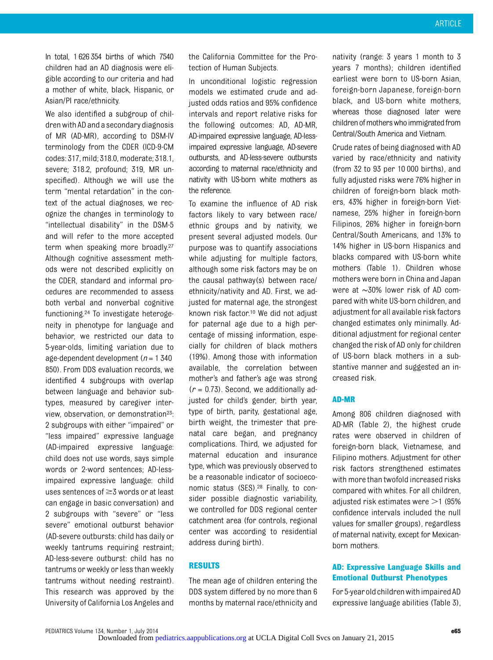In total, 1 626 354 births of which 7540 children had an AD diagnosis were eligible according to our criteria and had a mother of white, black, Hispanic, or Asian/PI race/ethnicity.

We also identified a subgroup of children with AD and a secondary diagnosis of MR (AD-MR), according to DSM-IV terminology from the CDER (ICD-9-CM codes: 317, mild; 318.0, moderate; 318.1, severe; 318.2, profound; 319, MR unspecified). Although we will use the term "mental retardation" in the context of the actual diagnoses, we recognize the changes in terminology to "intellectual disability" in the DSM-5 and will refer to the more accepted term when speaking more broadly.<sup>27</sup> Although cognitive assessment methods were not described explicitly on the CDER, standard and informal procedures are recommended to assess both verbal and nonverbal cognitive functioning.24 To investigate heterogeneity in phenotype for language and behavior, we restricted our data to 5-year-olds, limiting variation due to age-dependent development ( $n = 1,340$ 850). From DDS evaluation records, we identified 4 subgroups with overlap between language and behavior subtypes, measured by caregiver interview, observation, or demonstration23: 2 subgroups with either "impaired" or "less impaired" expressive language (AD-impaired expressive language: child does not use words, says simple words or 2-word sentences; AD-lessimpaired expressive language: child uses sentences of  $\geq$  3 words or at least can engage in basic conversation) and 2 subgroups with "severe" or "less severe" emotional outburst behavior (AD-severe outbursts: child has daily or weekly tantrums requiring restraint; AD-less-severe outburst: child has no tantrums or weekly or less than weekly tantrums without needing restraint). This research was approved by the University of California Los Angeles and

the California Committee for the Protection of Human Subjects.

In unconditional logistic regression models we estimated crude and adjusted odds ratios and 95% confidence intervals and report relative risks for the following outcomes: AD, AD-MR, AD-impaired expressive language, AD-lessimpaired expressive language, AD-severe outbursts, and AD-less-severe outbursts according to maternal race/ethnicity and nativity with US-born white mothers as the reference.

To examine the influence of AD risk factors likely to vary between race/ ethnic groups and by nativity, we present several adjusted models. Our purpose was to quantify associations while adjusting for multiple factors, although some risk factors may be on the causal pathway(s) between race/ ethnicity/nativity and AD. First, we adjusted for maternal age, the strongest known risk factor.10 We did not adjust for paternal age due to a high percentage of missing information, especially for children of black mothers (19%). Among those with information available, the correlation between mother's and father's age was strong  $(r = 0.73)$ . Second, we additionally adjusted for child's gender, birth year, type of birth, parity, gestational age, birth weight, the trimester that prenatal care began, and pregnancy complications. Third, we adjusted for maternal education and insurance type, which was previously observed to be a reasonable indicator of socioeconomic status (SES).28 Finally, to consider possible diagnostic variability, we controlled for DDS regional center catchment area (for controls, regional center was according to residential address during birth).

#### RESULTS

The mean age of children entering the DDS system differed by no more than 6 months by maternal race/ethnicity and

nativity (range: 3 years 1 month to 3 years 7 months); children identified earliest were born to US-born Asian, foreign-born Japanese, foreign-born black, and US-born white mothers, whereas those diagnosed later were children of mothers who immigrated from Central/South America and Vietnam.

Crude rates of being diagnosed with AD varied by race/ethnicity and nativity (from 32 to 93 per 10 000 births), and fully adjusted risks were 76% higher in children of foreign-born black mothers, 43% higher in foreign-born Vietnamese, 25% higher in foreign-born Filipinos, 26% higher in foreign-born Central/South Americans, and 13% to 14% higher in US-born Hispanics and blacks compared with US-born white mothers (Table 1). Children whose mothers were born in China and Japan were at ∼30% lower risk of AD compared with white US-born children, and adjustment for all available risk factors changed estimates only minimally. Additional adjustment for regional center changed the risk of AD only for children of US-born black mothers in a substantive manner and suggested an increased risk.

#### AD-MR

Among 806 children diagnosed with AD-MR (Table 2), the highest crude rates were observed in children of foreign-born black, Vietnamese, and Filipino mothers. Adjustment for other risk factors strengthened estimates with more than twofold increased risks compared with whites. For all children, adjusted risk estimates were  $>1$  (95%) confidence intervals included the null values for smaller groups), regardless of maternal nativity, except for Mexicanborn mothers.

#### AD: Expressive Language Skills and Emotional Outburst Phenotypes

For 5-year old children with impaired AD expressive language abilities (Table 3),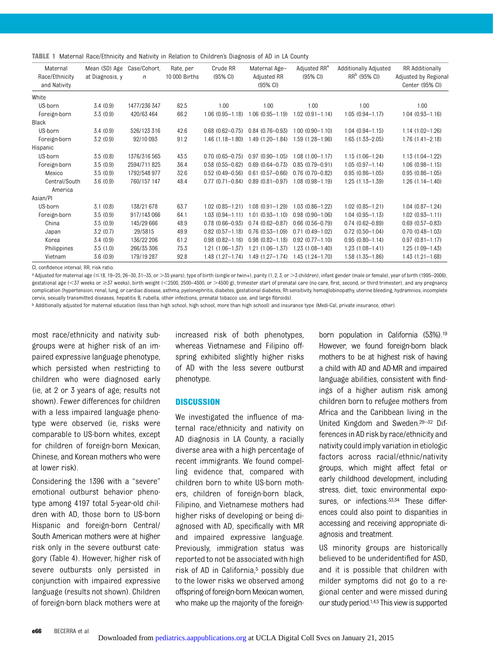|  |  | <b>TABLE 1</b> Maternal Race/Ethnicity and Nativity in Relation to Children's Diagnosis of AD in LA County |  |  |  |  |  |  |  |  |  |  |  |  |  |
|--|--|------------------------------------------------------------------------------------------------------------|--|--|--|--|--|--|--|--|--|--|--|--|--|
|--|--|------------------------------------------------------------------------------------------------------------|--|--|--|--|--|--|--|--|--|--|--|--|--|

| Maternal<br>Race/Ethnicity<br>and Nativity | Mean (SD) Age Case/Cohort,<br>at Diagnosis, y | n            | Rate, per<br>10 000 Births | Crude RR<br>$(95% \text{ Cl})$ | Maternal Age-<br>Adjusted RR<br>$(95% \text{ Cl})$ | Adjusted RR <sup>a</sup><br>$(95% \text{ Cl})$ | Additionally Adjusted<br>$RRb$ (95% CI) | <b>RR Additionally</b><br>Adjusted by Regional<br>Center (95% CI) |
|--------------------------------------------|-----------------------------------------------|--------------|----------------------------|--------------------------------|----------------------------------------------------|------------------------------------------------|-----------------------------------------|-------------------------------------------------------------------|
| White                                      |                                               |              |                            |                                |                                                    |                                                |                                         |                                                                   |
| US-born                                    | 3.4(0.9)                                      | 1477/236 347 | 62.5                       | 1.00                           | 1.00                                               | 1.00                                           | 1.00                                    | 1.00                                                              |
| Foreign-born                               | 3.3(0.9)                                      | 420/63 464   | 66.2                       | $1.06(0.95 - 1.18)$            | $1.06(0.95 - 1.19)$                                | $1.02(0.91 - 1.14)$                            | $1.05(0.94 - 1.17)$                     | $1.04(0.93 - 1.16)$                                               |
| Black                                      |                                               |              |                            |                                |                                                    |                                                |                                         |                                                                   |
| US-born                                    | 3.4(0.9)                                      | 526/123 316  | 42.6                       | $0.68$ $(0.62 - 0.75)$         | $0.84(0.76 - 0.93)$                                | $1.00(0.90 - 1.10)$                            | $1.04(0.94 - 1.15)$                     | $1.14(1.02 - 1.26)$                                               |
| Foreign-born                               | 3.2(0.9)                                      | 92/10 093    | 91.2                       | $1.46(1.18 - 1.80)$            | $1.49(1.20 - 1.84)$                                | $1.59(1.28 - 1.96)$                            | $1.65(1.33 - 2.05)$                     | $1.76(1.41 - 2.18)$                                               |
| Hispanic                                   |                                               |              |                            |                                |                                                    |                                                |                                         |                                                                   |
| US-born                                    | 3.5(0.8)                                      | 1376/316 565 | 43.5                       | $0.70(0.65 - 0.75)$            | $0.97(0.90 - 1.05)$                                | $1.08(1.00 - 1.17)$                            | $1.15(1.06 - 1.24)$                     | $1.13(1.04 - 1.22)$                                               |
| Foreign-born                               | 3.5(0.9)                                      | 2594/711825  | 36.4                       | $0.58(0.55 - 0.62)$            | $0.69$ $(0.64 - 0.73)$                             | $0.85(0.79 - 0.91)$                            | $1.05(0.97 - 1.14)$                     | $1.06(0.98 - 1.15)$                                               |
| Mexico                                     | 3.5(0.9)                                      | 1792/548 977 | 32.6                       | $0.52(0.49 - 0.56)$            | $0.61(0.57 - 0.66)$                                | $0.76(0.70 - 0.82)$                            | $0.95(0.86 - 1.05)$                     | $0.95(0.86 - 1.05)$                                               |
| Central/South                              | 3.6(0.9)                                      | 760/157 147  | 48.4                       | $0.77(0.71 - 0.84)$            | $0.89(0.81 - 0.97)$                                | $1.08(0.98 - 1.19)$                            | $1.25(1.13 - 1.39)$                     | $1.26(1.14 - 1.40)$                                               |
| America                                    |                                               |              |                            |                                |                                                    |                                                |                                         |                                                                   |
| Asian/Pl                                   |                                               |              |                            |                                |                                                    |                                                |                                         |                                                                   |
| US-born                                    | 3.1(0.8)                                      | 138/21 678   | 63.7                       | $1.02(0.85 - 1.21)$            | $1.08(0.91 - 1.29)$                                | $1.03(0.86 - 1.22)$                            | $1.02(0.85 - 1.21)$                     | $1.04(0.87 - 1.24)$                                               |
| Foreign-born                               | 3.5(0.9)                                      | 917/143 066  | 64.1                       | $1.03(0.94 - 1.11)$            | $1.01(0.93 - 1.10)$                                | $0.98(0.90 - 1.06)$                            | $1.04(0.95 - 1.13)$                     | $1.02(0.93 - 1.11)$                                               |
| China                                      | 3.5(0.9)                                      | 145/29 666   | 48.9                       | $0.78(0.66 - 0.93)$            | $0.74(0.62 - 0.87)$                                | $0.66(0.56 - 0.79)$                            | $0.74$ $(0.62 - 0.89)$                  | $0.69$ $(0.57 - 0.83)$                                            |
| Japan                                      | 3.2(0.7)                                      | 29/5815      | 49.9                       | $0.82$ $(0.57 - 1.18)$         | $0.76(0.53 - 1.09)$                                | $0.71(0.49 - 1.02)$                            | $0.72(0.50 - 1.04)$                     | $0.70(0.48 - 1.03)$                                               |
| Korea                                      | 3.4(0.9)                                      | 136/22 206   | 61.2                       | $0.98$ $(0.82 - 1.16)$         | $0.98(0.82 - 1.18)$                                | $0.92(0.77 - 1.10)$                            | $0.95(0.80 - 1.14)$                     | $0.97(0.81 - 1.17)$                                               |
| Philippines                                | 3.5(1.0)                                      | 266/35 306   | 75.3                       | $1.21(1.06 - 1.37)$            | $1.21(1.06 - 1.37)$                                | $1.23(1.08 - 1.40)$                            | $1.23(1.08 - 1.41)$                     | $1.25(1.09 - 1.43)$                                               |
| Vietnam                                    | 3.6(0.9)                                      | 179/19 287   | 92.8                       | $1.48(1.27 - 1.74)$            | $1.49(1.27 - 1.74)$                                | $1.45(1.24 - 1.70)$                            | $1.58(1.35 - 1.86)$                     | $1.43(1.21 - 1.68)$                                               |

CI, confidence interval; RR, risk ratio.

<sup>a</sup> Adjusted for maternal age ( $\leq$ 18, 19–25, 26–30, 31–35, or  $>$ 35 years), type of birth (single or twin+), parity (1, 2, 3, or  $>$ 3 children), infant gender (male or female), year of birth (1995–2006), gestational age (<37 weeks or  $\geq$ 37 weeks), birth weight (<2500, 2500–4500, or  $>$ 4500 g), trimester start of prenatal care (no care, first, second, or third trimester), and any pregnancy complication (hypertension, renal, lung, or cardiac disease, asthma, pyelonephritis, diabetes, gestational diabetes, Rh sensitivity, hemoglobinopathy, uterine bleeding, hydramnios, incomplete cervix, sexually transmitted diseases, hepatitis B, rubella, other infections, prenatal tobacco use, and large fibroids).

b Additionally adjusted for maternal education (less than high school, high school, more than high school) and insurance type (Medi-Cal, private insurance, other).

most race/ethnicity and nativity subgroups were at higher risk of an impaired expressive language phenotype, which persisted when restricting to children who were diagnosed early (ie, at 2 or 3 years of age; results not shown). Fewer differences for children with a less impaired language phenotype were observed (ie, risks were comparable to US-born whites, except for children of foreign-born Mexican, Chinese, and Korean mothers who were at lower risk).

Considering the 1396 with a "severe" emotional outburst behavior phenotype among 4197 total 5-year-old children with AD, those born to US-born Hispanic and foreign-born Central/ South American mothers were at higher risk only in the severe outburst category (Table 4). However, higher risk of severe outbursts only persisted in conjunction with impaired expressive language (results not shown). Children of foreign-born black mothers were at increased risk of both phenotypes, whereas Vietnamese and Filipino offspring exhibited slightly higher risks of AD with the less severe outburst phenotype.

#### **DISCUSSION**

We investigated the influence of maternal race/ethnicity and nativity on AD diagnosis in LA County, a racially diverse area with a high percentage of recent immigrants. We found compelling evidence that, compared with children born to white US-born mothers, children of foreign-born black, Filipino, and Vietnamese mothers had higher risks of developing or being diagnosed with AD, specifically with MR and impaired expressive language. Previously, immigration status was reported to not be associated with high risk of AD in California,<sup>5</sup> possibly due to the lower risks we observed among offspring of foreign-born Mexican women, who make up the majority of the foreignborn population in California (53%).19 However, we found foreign-born black mothers to be at highest risk of having a child with AD and AD-MR and impaired language abilities, consistent with findings of a higher autism risk among children born to refugee mothers from Africa and the Caribbean living in the United Kingdom and Sweden.29–<sup>32</sup> Differences in AD risk by race/ethnicity and nativity could imply variation in etiologic factors across racial/ethnic/nativity groups, which might affect fetal or early childhood development, including stress, diet, toxic environmental exposures, or infections.<sup>33,34</sup> These differences could also point to disparities in accessing and receiving appropriate diagnosis and treatment.

US minority groups are historically believed to be underidentified for ASD, and it is possible that children with milder symptoms did not go to a regional center and were missed during our study period.1,4,5 This view is supported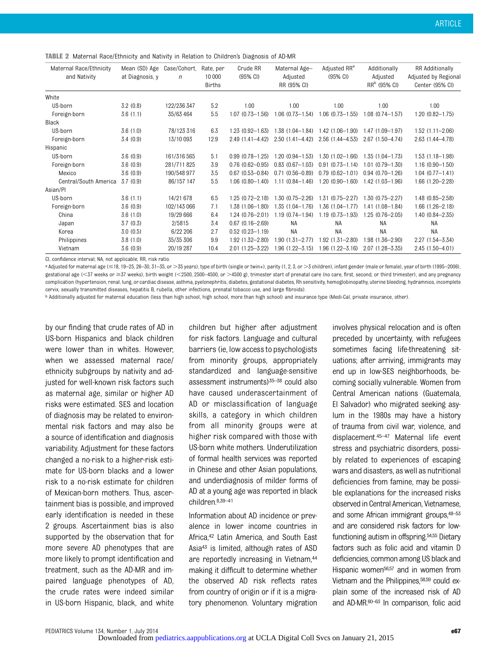TABLE 2 Maternal Race/Ethnicity and Nativity in Relation to Children's Diagnosis of AD-MR

| Maternal Race/Ethnicity<br>and Nativity | Mean (SD) Age<br>at Diagnosis, y | Case/Cohort,<br>$\eta$ | Rate, per<br>10 000<br><b>Births</b> | Crude RR<br>$(95% \text{ Cl})$ | Maternal Age-<br>Adjusted<br>RR (95% CI) | Adjusted RR <sup>a</sup><br>(95% CI) | Additionally<br>Adjusted<br>RR <sup>b</sup> (95% CI) | RR Additionally<br>Adjusted by Regional<br>Center (95% CI) |
|-----------------------------------------|----------------------------------|------------------------|--------------------------------------|--------------------------------|------------------------------------------|--------------------------------------|------------------------------------------------------|------------------------------------------------------------|
| White                                   |                                  |                        |                                      |                                |                                          |                                      |                                                      |                                                            |
| US-born                                 | 3.2(0.8)                         | 122/236 347            | 5.2                                  | 1.00                           | 1.00                                     | 1.00                                 | 1.00                                                 | 1.00                                                       |
| Foreign-born                            | 3.6(1.1)                         | 35/63 464              | 5.5                                  | $1.07(0.73 - 1.56)$            | $1.06(0.73 - 1.54)$                      | $1.06(0.73 - 1.55)$                  | $1.08(0.74 - 1.57)$                                  | $1.20(0.82 - 1.75)$                                        |
| <b>Black</b>                            |                                  |                        |                                      |                                |                                          |                                      |                                                      |                                                            |
| US-born                                 | 3.6(1.0)                         | 78/123 316             | 6.3                                  | $1.23(0.92 - 1.63)$            | $1.38(1.04 - 1.84)$                      | $1.42(1.06 - 1.90)$                  | $1.47(1.09 - 1.97)$                                  | $1.52(1.11 - 2.06)$                                        |
| Foreign-born                            | 3.4(0.9)                         | 13/10 093              | 12.9                                 | $2.49(1.41 - 4.42)$            | $2.50(1.41 - 4.42)$                      | $2.56(1.44 - 4.53)$                  | $2.67(1.50 - 4.74)$                                  | $2.63(1.44 - 4.78)$                                        |
| Hispanic                                |                                  |                        |                                      |                                |                                          |                                      |                                                      |                                                            |
| US-born                                 | 3.6(0.9)                         | 161/316 565            | 5.1                                  | $0.99(0.78 - 1.25)$            | $1.20(0.94 - 1.53)$                      | $1.30(1.02 - 1.66)$                  | $1.35(1.04 - 1.73)$                                  | $1.53(1.18 - 1.98)$                                        |
| Foreign-born                            | 3.6(0.9)                         | 281/711825             | 3.9                                  | $0.76(0.62 - 0.95)$            | $0.83(0.67 - 1.03)$                      | $0.91(0.73 - 1.14)$                  | $1.01(0.79 - 1.30)$                                  | $1.16(0.90 - 1.50)$                                        |
| Mexico                                  | 3.6(0.9)                         | 190/548 977            | 3.5                                  | $0.67$ $(0.53 - 0.84)$         | $0.71(0.56 - 0.89)$                      | $0.79(0.62 - 1.01)$                  | $0.94(0.70 - 1.26)$                                  | $1.04(0.77 - 1.41)$                                        |
| Central/South America                   | 3.7(0.9)                         | 86/157 147             | 5.5                                  | $1.06(0.80 - 1.40)$            | $1.11(0.84 - 1.46)$                      | $1.20(0.90 - 1.60)$                  | $1.42(1.03 - 1.96)$                                  | $1.66(1.20 - 2.28)$                                        |
| Asian/PI                                |                                  |                        |                                      |                                |                                          |                                      |                                                      |                                                            |
| US-born                                 | 3.6(1.1)                         | 14/21 678              | 6.5                                  | $1.25(0.72 - 2.18)$            | $.30(0.75 - 2.26)$                       | $1.31(0.75 - 2.27)$                  | 1.30 (0.75-2.27)                                     | $1.48(0.85 - 2.58)$                                        |
| Foreign-born                            | 3.6(0.9)                         | 102/143 066            | 7.1                                  | $1.38(1.06 - 1.80)$            | $.35(1.04 - 1.76)$                       | $1.36(1.04 - 1.77)$                  | $1.41(1.08 - 1.84)$                                  | $1.66$ $(1.26 - 2.18)$                                     |
| China                                   | 3.6(1.0)                         | 19/29 666              | 6.4                                  | $1.24(0.76 - 2.01)$            | $1.19(0.74 - 1.94)$                      | $1.19(0.73 - 1.93)$                  | $1.25(0.76 - 2.05)$                                  | $1.40(0.84 - 2.35)$                                        |
| Japan                                   | 3.7(0.3)                         | 2/5815                 | 3.4                                  | $0.67(0.16 - 2.69)$            | <b>NA</b>                                | <b>NA</b>                            | <b>NA</b>                                            | <b>NA</b>                                                  |
| Korea                                   | 3.0(0.5)                         | 6/22 206               | 2.7                                  | $0.52(0.23 - 1.19)$            | <b>NA</b>                                | <b>NA</b>                            | <b>NA</b>                                            | <b>NA</b>                                                  |
| Philippines                             | 3.8(1.0)                         | 35/35 306              | 9.9                                  | $1.92(1.32 - 2.80)$            | $1.90(1.31 - 2.77)$                      | $1.92(1.31 - 2.80)$                  | 1.98 (1.36-2.90)                                     | $2.27(1.54 - 3.34)$                                        |
| Vietnam                                 | 3.6(0.9)                         | 20/19 287              | 10.4                                 | $2.01(1.25 - 3.22)$            | $1.96(1.22 - 3.15)$                      | $1.96(1.22 - 3.16)$                  | $2.07(1.28 - 3.35)$                                  | $2.45(1.50 - 4.01)$                                        |

CI, confidence interval; NA, not applicable; RR, risk ratio.

a Adjusted for maternal age (≤18, 19–25, 26–30, 31–35, or >35 years), type of birth (single or twin+), parity (1, 2, 3, or >3 children), infant gender (male or female), year of birth (1995–2006), gestational age (<37 weeks or ≥37 weeks), birth weight (<2500, 2500-4500, or >4500 g), trimester start of prenatal care (no care, first, second, or third trimester), and any pregnancy complication (hypertension, renal, lung, or cardiac disease, asthma, pyelonephritis, diabetes, gestational diabetes, Rh sensitivity, hemoglobinopathy, uterine bleeding, hydramnios, incomplete cervix, sexually transmitted diseases, hepatitis B, rubella, other infections, prenatal tobacco use, and large fibroids).

b Additionally adjusted for maternal education (less than high school, high school, more than high school) and insurance type (Medi-Cal, private insurance, other).

by our finding that crude rates of AD in US-born Hispanics and black children were lower than in whites. However, when we assessed maternal race/ ethnicity subgroups by nativity and adjusted for well-known risk factors such as maternal age, similar or higher AD risks were estimated. SES and location of diagnosis may be related to environmental risk factors and may also be a source of identification and diagnosis variability. Adjustment for these factors changed a no-risk to a higher-risk estimate for US-born blacks and a lower risk to a no-risk estimate for children of Mexican-born mothers. Thus, ascertainment bias is possible, and improved early identification is needed in these 2 groups. Ascertainment bias is also supported by the observation that for more severe AD phenotypes that are more likely to prompt identification and treatment, such as the AD-MR and impaired language phenotypes of AD, the crude rates were indeed similar in US-born Hispanic, black, and white

children but higher after adjustment for risk factors. Language and cultural barriers (ie, low access to psychologists from minority groups, appropriately standardized and language-sensitive assessment instruments)35–<sup>38</sup> could also have caused underascertainment of AD or misclassification of language skills, a category in which children from all minority groups were at higher risk compared with those with US-born white mothers. Underutilization of formal health services was reported in Chinese and other Asian populations, and underdiagnosis of milder forms of AD at a young age was reported in black children.8,39–<sup>41</sup>

Information about AD incidence or prevalence in lower income countries in Africa,42 Latin America, and South East Asia43 is limited, although rates of ASD are reportedly increasing in Vietnam,<sup>44</sup> making it difficult to determine whether the observed AD risk reflects rates from country of origin or if it is a migratory phenomenon. Voluntary migration

involves physical relocation and is often preceded by uncertainty, with refugees sometimes facing life-threatening situations; after arriving, immigrants may end up in low-SES neighborhoods, becoming socially vulnerable. Women from Central American nations (Guatemala, El Salvador) who migrated seeking asylum in the 1980s may have a history of trauma from civil war, violence, and displacement.45–<sup>47</sup> Maternal life event stress and psychiatric disorders, possibly related to experiences of escaping wars and disasters, as well as nutritional deficiencies from famine, may be possible explanations for the increased risks observed in Central American, Vietnamese, and some African immigrant groups,48–<sup>53</sup> and are considered risk factors for lowfunctioning autism in offspring.54,55 Dietary factors such as folic acid and vitamin D deficiencies, common among US black and Hispanic women<sup>56,57</sup> and in women from Vietnam and the Philippines,<sup>58,59</sup> could explain some of the increased risk of AD and AD-MR.60–<sup>63</sup> In comparison, folic acid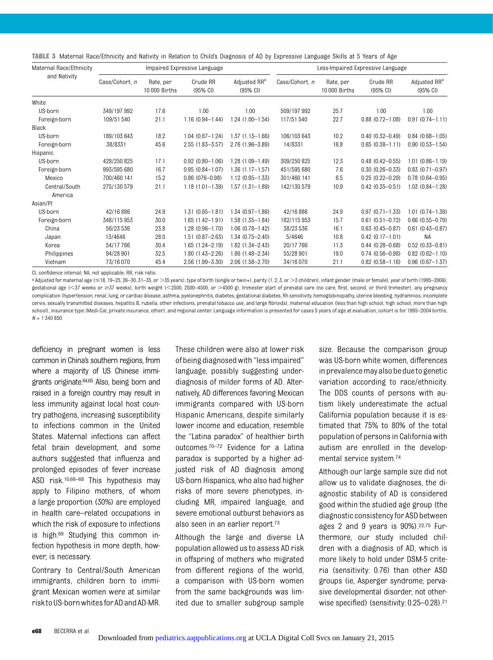| Maternal Race/Ethnicity |                |                            | Impaired Expressive Language   |                                                | Less-Impaired Expressive Language |                            |                                |                                                |  |  |
|-------------------------|----------------|----------------------------|--------------------------------|------------------------------------------------|-----------------------------------|----------------------------|--------------------------------|------------------------------------------------|--|--|
| and Nativity            | Case/Cohort, n | Rate, per<br>10 000 Births | Crude RR<br>$(95% \text{ Cl})$ | Adjusted RR <sup>a</sup><br>$(95% \text{ Cl})$ | Case/Cohort, n                    | Rate, per<br>10 000 Births | Crude RR<br>$(95% \text{ Cl})$ | Adjusted RR <sup>a</sup><br>$(95% \text{ Cl})$ |  |  |
| White                   |                |                            |                                |                                                |                                   |                            |                                |                                                |  |  |
| US-born                 | 349/197 992    | 17.6                       | 1.00                           | 1.00                                           | 509/197 992                       | 25.7                       | 1.00                           | 1.00                                           |  |  |
| Foreign-born            | 109/51 540     | 21.1                       | $1.16(0.94 - 1.44)$            | $1.24(1.00 - 1.54)$                            | 117/51 540                        | 22.7                       | $0.88$ $(0.72 - 1.08)$         | $0.91(0.74 - 1.11)$                            |  |  |
| Black                   |                |                            |                                |                                                |                                   |                            |                                |                                                |  |  |
| US-born                 | 189/103 643    | 18.2                       | $1.04(0.87 - 1.24)$            | $1.37(1.13 - 1.66)$                            | 106/103 643                       | 10.2                       | $0.40(0.32 - 0.49)$            | $0.84$ $(0.68 - 1.05)$                         |  |  |
| Foreign-born            | 38/8331        | 45.6                       | $2.55(1.83 - 3.57)$            | 2.76 (1.96-3.89)                               | 14/8331                           | 16.8                       | $0.65(0.38 - 1.11)$            | $0.90(0.53 - 1.54)$                            |  |  |
| Hispanic                |                |                            |                                |                                                |                                   |                            |                                |                                                |  |  |
| US-born                 | 429/250 825    | 17.1                       | $0.92(0.80 - 1.06)$            | $1.28(1.09 - 1.49)$                            | 309/250 825                       | 12.3                       | $0.48$ $(0.42 - 0.55)$         | $1.01$ $(0.86 - 1.19)$                         |  |  |
| Foreign-born            | 993/595 680    | 16.7                       | $0.95(0.84 - 1.07)$            | $1.36(1.17 - 1.57)$                            | 451/595 680                       | 7.6                        | $0.30(0.26 - 0.33)$            | $0.83$ $(0.71 - 0.97)$                         |  |  |
| Mexico                  | 700/460 141    | 15.2                       | $0.86(076 - 0.98)$             | $1.12(0.95 - 1.33)$                            | 301/460 141                       | 6.5                        | $0.25(0.22 - 0.29)$            | $0.78(0.64 - 0.95)$                            |  |  |
| Central/South           | 275/130 579    | 21.1                       | $1.18(1.01 - 1.39)$            | $1.57(1.31 - 1.89)$                            | 142/130 579                       | 10.9                       | $0.42$ (0.35-0.51)             | $1.03(0.84 - 1.28)$                            |  |  |
| America                 |                |                            |                                |                                                |                                   |                            |                                |                                                |  |  |
| Asian/Pl                |                |                            |                                |                                                |                                   |                            |                                |                                                |  |  |
| US-born                 | 42/16 886      | 24.9                       | $1.31(0.95 - 1.81)$            | $1.34(0.97 - 1.86)$                            | 42/16 886                         | 24.9                       | $0.97(0.71 - 1.33)$            | $1.01$ $(0.74 - 1.39)$                         |  |  |
| Foreign-born            | 348/115953     | 30.0                       | $1.65(1.42 - 1.91)$            | $1.58(1.35 - 1.84)$                            | 182/115 953                       | 15.7                       | $0.61(0.51 - 0.72)$            | $0.66$ $(0.55 - 0.79)$                         |  |  |
| China                   | 56/23 536      | 23.8                       | 1.28 (0.96-1.70)               | $1.06(0.78 - 1.42)$                            | 38/23 536                         | 16.1                       | $0.63$ $(0.45 - 0.87)$         | $0.61$ $(0.43 - 0.87)$                         |  |  |
| Japan                   | 13/4646        | 28.0                       | $1.51(0.87 - 2.63)$            | $1.34(0.75 - 2.40)$                            | 5/4646                            | 10.8                       | $0.42(0.17 - 1.01)$            | <b>NA</b>                                      |  |  |
| Korea                   | 54/17 766      | 30.4                       | $1.65(1.24 - 2.19)$            | $1.82(1.34 - 2.43)$                            | 20/17 766                         | 11.3                       | $0.44(0.28 - 0.68)$            | $0.52$ $(0.33 - 0.81)$                         |  |  |
| Philippines             | 94/28 901      | 32.5                       | $1.80(1.43 - 2.26)$            | $1.86(1.48 - 2.34)$                            | 55/28 901                         | 19.0                       | $0.74(0.56 - 0.98)$            | $0.82$ $(0.62 - 1.10)$                         |  |  |
| Vietnam                 | 73/16 070      | 45.4                       | 2.56 (1.99-3.30)               | 2.06 (1.58-2.70)                               | 34/16 070                         | 21.1                       | $0.82$ $(0.58 - 1.16)$         | $0.96(0.67 - 1.37)$                            |  |  |

TABLE 3 Maternal Race/Ethnicity and Nativity in Relation to Child's Diagnosis of AD by Expressive Language Skills at 5 Years of Age

CI, confidence interval; NA, not applicable; RR, risk ratio.

a Adjusted for maternal age (≤18, 19–25, 26–30, 31–35, or >35 years), type of birth (single or twin+), parity (1, 2, 3, or >3 children), infant gender (male or female), year of birth (1995–2006), gestational age (<37 weeks or ≥37 weeks), birth weight (<2500, 2500–4500, or >4500 g), trimester start of prenatal care (no care, first, second, or third trimester), any pregnancy complication (hypertension, renal, lung, or cardiac disease, asthma, pyelonephritis, diabetes, gestational diabetes, Rh sensitivity, hemoglobinopathy, uterine bleeding, hydramnios, incomplete cervix, sexually transmitted diseases, hepatitis B, rubella, other infections, prenatal tobacco use, and large fibroids), maternal education (less than high school, high school, more than high school), insurance type (Medi-Cal, private insurance, other), and regional center. Language information is presented for cases 5 years of age at evaluation; cohort is for 1995–2004 births,  $N = 1,340,850$ .

deficiency in pregnant women is less common in China's southern regions, from where a majority of US Chinese immigrants originate.64,65 Also, being born and raised in a foreign country may result in less immunity against local host country pathogens, increasing susceptibility to infections common in the United States. Maternal infections can affect fetal brain development, and some authors suggested that influenza and prolonged episodes of fever increase ASD risk.10,66–<sup>68</sup> This hypothesis may apply to Filipino mothers, of whom a large proportion (30%) are employed in health care–related occupations in which the risk of exposure to infections is high.69 Studying this common infection hypothesis in more depth, however, is necessary.

Contrary to Central/South American immigrants, children born to immigrant Mexican women were at similar riskto US-bornwhitesforAD andAD-MR.

These children were also at lower risk of being diagnosed with "less impaired" language, possibly suggesting underdiagnosis of milder forms of AD. Alternatively, AD differences favoring Mexican immigrants compared with US-born Hispanic Americans, despite similarly lower income and education, resemble the "Latina paradox" of healthier birth outcomes.70–<sup>72</sup> Evidence for a Latina paradox is supported by a higher adjusted risk of AD diagnosis among US-born Hispanics, who also had higher risks of more severe phenotypes, including MR, impaired language, and severe emotional outburst behaviors as also seen in an earlier report.73

Although the large and diverse LA population allowed us to assess AD risk in offspring of mothers who migrated from different regions of the world, a comparison with US-born women from the same backgrounds was limited due to smaller subgroup sample

size. Because the comparison group was US-born white women, differences inprevalencemay alsobedueto genetic variation according to race/ethnicity. The DDS counts of persons with autism likely underestimate the actual California population because it is estimated that 75% to 80% of the total population of persons in California with autism are enrolled in the developmental service system.74

Although our large sample size did not allow us to validate diagnoses, the diagnostic stability of AD is considered good within the studied age group (the diagnostic consistency for ASD between ages 2 and 9 years is 90%).22,75 Furthermore, our study included children with a diagnosis of AD, which is more likely to hold under DSM-5 criteria (sensitivity: 0.76) than other ASD groups (ie, Asperger syndrome; pervasive developmental disorder, not otherwise specified) (sensitivity: 0.25–0.28).21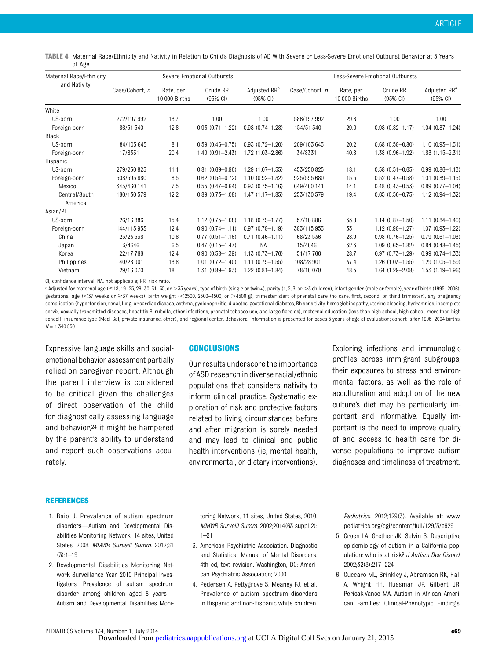TABLE 4 Maternal Race/Ethnicity and Nativity in Relation to Child's Diagnosis of AD With Severe or Less-Severe Emotional Outburst Behavior at 5 Years of Age

| Maternal Race/Ethnicity |                |                            | Severe Emotional Outbursts     |                                                | Less-Severe Emotional Outbursts |                            |                                |                                                |  |  |
|-------------------------|----------------|----------------------------|--------------------------------|------------------------------------------------|---------------------------------|----------------------------|--------------------------------|------------------------------------------------|--|--|
| and Nativity            | Case/Cohort, n | Rate, per<br>10 000 Births | Crude RR<br>$(95% \text{ Cl})$ | Adjusted RR <sup>a</sup><br>$(95% \text{ Cl})$ | Case/Cohort, n                  | Rate, per<br>10 000 Births | Crude RR<br>$(95% \text{ Cl})$ | Adjusted RR <sup>a</sup><br>$(95% \text{ Cl})$ |  |  |
| White                   |                |                            |                                |                                                |                                 |                            |                                |                                                |  |  |
| US-born                 | 272/197 992    | 13.7                       | 1.00                           | 1.00                                           | 586/197 992                     | 29.6                       | 1.00                           | 1.00                                           |  |  |
| Foreign-born            | 66/51 540      | 12.8                       | $0.93(0.71 - 1.22)$            | $0.98$ $(0.74 - 1.28)$                         | 154/51 540                      | 29.9                       | $0.98(0.82 - 1.17)$            | $1.04(0.87 - 1.24)$                            |  |  |
| Black                   |                |                            |                                |                                                |                                 |                            |                                |                                                |  |  |
| US-born                 | 84/103 643     | 8.1                        | $0.59(0.46 - 0.75)$            | $0.93(0.72 - 1.20)$                            | 209/103 643                     | 20.2                       | $0.68$ $(0.58 - 0.80)$         | $1.10(0.93 - 1.31)$                            |  |  |
| Foreign-born            | 17/8331        | 20.4                       | $1.49(0.91 - 2.43)$            | $1.72(1.03 - 2.86)$                            | 34/8331                         | 40.8                       | 1.38 (0.96-1.92)               | $1.63(1.15 - 2.31)$                            |  |  |
| Hispanic                |                |                            |                                |                                                |                                 |                            |                                |                                                |  |  |
| US-born                 | 279/250 825    | 11.1                       | $0.81(0.69 - 0.96)$            | $1.29(1.07 - 1.55)$                            | 453/250 825                     | 18.1                       | $0.58$ $(0.51 - 0.65)$         | $0.99(0.86 - 1.13)$                            |  |  |
| Foreign-born            | 508/595 680    | 8.5                        | $0.62$ $(0.54 - 0.72)$         | $1.10(0.92 - 1.32)$                            | 925/595 680                     | 15.5                       | $0.52$ $(0.47 - 0.58)$         | $1.01(0.89 - 1.15)$                            |  |  |
| Mexico                  | 345/460 141    | 7.5                        | $0.55(0.47 - 0.64)$            | $0.93(0.75 - 1.16)$                            | 649/460 141                     | 14.1                       | $0.48(0.43 - 0.53)$            | $0.89(0.77-1.04)$                              |  |  |
| Central/South           | 160/130 579    | 12.2                       | $0.89$ $(0.73 - 1.08)$         | $1.47(1.17 - 1.85)$                            | 253/130 579                     | 19.4                       | $0.65(0.56 - 0.75)$            | $1.12(0.94 - 1.32)$                            |  |  |
| America                 |                |                            |                                |                                                |                                 |                            |                                |                                                |  |  |
| Asian/Pl                |                |                            |                                |                                                |                                 |                            |                                |                                                |  |  |
| US-born                 | 26/16 886      | 15.4                       | $1.12(0.75 - 1.68)$            | $1.18(0.79 - 1.77)$                            | 57/16 886                       | 33.8                       | $1.14(0.87 - 1.50)$            | $1.11(0.84 - 1.46)$                            |  |  |
| Foreign-born            | 144/115 953    | 12.4                       | $0.90(0.74 - 1.11)$            | $0.97(0.78 - 1.19)$                            | 383/115 953                     | 33                         | $1.12(0.98 - 1.27)$            | $1.07(0.93 - 1.22)$                            |  |  |
| China                   | 25/23 536      | 10.6                       | $0.77(0.51 - 1.16)$            | $0.71(0.46 - 1.11)$                            | 68/23 536                       | 28.9                       | $0.98$ $(0.76 - 1.25)$         | $0.79(0.61 - 1.03)$                            |  |  |
| Japan                   | 3/4646         | 6.5                        | $0.47(0.15 - 1.47)$            | <b>NA</b>                                      | 15/4646                         | 32.3                       | $1.09(0.65 - 1.82)$            | $0.84$ $(0.48 - 1.45)$                         |  |  |
| Korea                   | 22/17 766      | 12.4                       | $0.90(0.58 - 1.39)$            | $1.13(0.73 - 1.76)$                            | 51/17 766                       | 28.7                       | $0.97$ $(0.73 - 1.29)$         | $0.99(0.74 - 1.33)$                            |  |  |
| Philippines             | 40/28 901      | 13.8                       | $1.01(0.72 - 1.40)$            | $1.11(0.79 - 1.55)$                            | 108/28 901                      | 37.4                       | $1.26$ $(1.03 - 1.55)$         | $1.29(1.05 - 1.59)$                            |  |  |
| Vietnam                 | 29/16 070      | 18                         | $1.31(0.89 - 1.93)$            | $1.22(0.81 - 1.84)$                            | 78/16 070                       | 48.5                       | 1.64 (1.29-2.08)               | $1.53(1.19 - 1.96)$                            |  |  |

CI, confidence interval; NA, not applicable; RR, risk ratio.

<sup>a</sup> Adjusted for maternal age (≤18, 19–25, 26–30, 31–35, or >35 years), type of birth (single or twin+), parity (1, 2, 3, or >3 children), infant gender (male or female), year of birth (1995–2006), gestational age (<37 weeks or ≥37 weeks), birth weight (<2500, 2500–4500, or >4500 g), trimester start of prenatal care (no care, first, second, or third trimester), any pregnancy complication (hypertension, renal, lung, or cardiac disease, asthma, pyelonephritis, diabetes, gestational diabetes, Rh sensitivity, hemoglobinopathy, uterine bleeding, hydramnios, incomplete cervix, sexually transmitted diseases, hepatitis B, rubella, other infections, prenatal tobacco use, and large fibroids), maternal education (less than high school, high school, more than high school), insurance type (Medi-Cal, private insurance, other), and regional center. Behavioral information is presented for cases 5 years of age at evaluation; cohort is for 1995-2004 births,  $N = 1,340,850$ .

Expressive language skills and socialemotional behavior assessment partially relied on caregiver report. Although the parent interview is considered to be critical given the challenges of direct observation of the child for diagnostically assessing language and behavior,24 it might be hampered by the parent's ability to understand and report such observations accurately.

#### **CONCLUSIONS**

Our results underscore the importance of ASD research in diverse racial/ethnic populations that considers nativity to inform clinical practice. Systematic exploration of risk and protective factors related to living circumstances before and after migration is sorely needed and may lead to clinical and public health interventions (ie, mental health, environmental, or dietary interventions). Exploring infections and immunologic profiles across immigrant subgroups, their exposures to stress and environmental factors, as well as the role of acculturation and adoption of the new culture's diet may be particularly important and informative. Equally important is the need to improve quality of and access to health care for diverse populations to improve autism diagnoses and timeliness of treatment.

#### REFERENCES

- 1. Baio J. Prevalence of autism spectrum disorders—Autism and Developmental Disabilities Monitoring Network, 14 sites, United States, 2008. MMWR Surveill Summ. 2012;61  $(3) \cdot 1 - 19$
- 2. Developmental Disabilities Monitoring Network Surveillance Year 2010 Principal Investigators. Prevalence of autism spectrum disorder among children aged 8 years— Autism and Developmental Disabilities Moni-

toring Network, 11 sites, United States, 2010. MMWR Surveill Summ. 2002;2014(63 suppl 2): 1–21

- 3. American Psychiatric Association. Diagnostic and Statistical Manual of Mental Disorders. 4th ed, text revision. Washington, DC: American Psychiatric Association; 2000
- 4. Pedersen A, Pettygrove S, Meaney FJ, et al. Prevalence of autism spectrum disorders in Hispanic and non-Hispanic white children.

Pediatrics. 2012;129(3). Available at: [www.](http://www.pediatrics.org/cgi/content/full/129/3/e629) [pediatrics.org/cgi/content/full/129/3/e629](http://www.pediatrics.org/cgi/content/full/129/3/e629)

- 5. Croen LA, Grether JK, Selvin S. Descriptive epidemiology of autism in a California population: who is at risk? J Autism Dev Disord. 2002;32(3):217–224
- 6. Cuccaro ML, Brinkley J, Abramson RK, Hall A, Wright HH, Hussman JP, Gilbert JR, Pericak-Vance MA. Autism in African American Families: Clinical-Phenotypic Findings.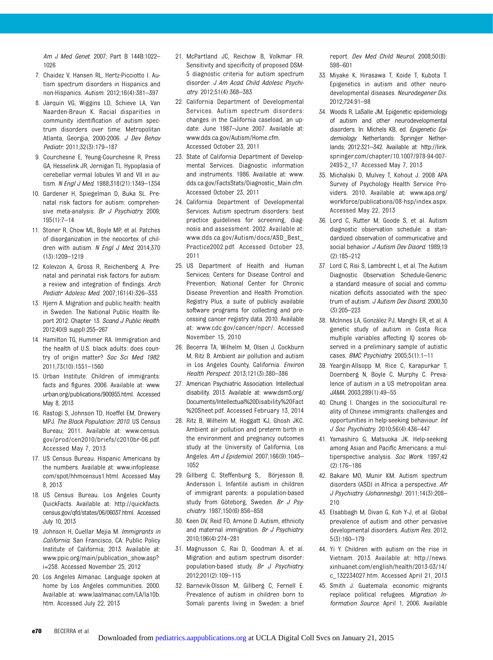Am J Med Genet. 2007; Part B 144B:1022– 1026

- 7. Chaidez V, Hansen RL, Hertz-Picciotto I. Autism spectrum disorders in Hispanics and non-Hispanics. Autism. 2012;16(4):381–397
- 8. Jarquin VG, Wiggins LD, Schieve LA, Van Naarden-Braun K. Racial disparities in community identification of autism spectrum disorders over time: Metropolitan Atlanta, Georgia, 2000-2006. J Dev Behav Pediatr. 2011;32(3):179–187
- 9. Courchesne E, Yeung-Courchesne R, Press GA, Hesselink JR, Jernigan TL. Hypoplasia of cerebellar vermal lobules VI and VII in autism. N Engl J Med. 1988;318(21):1349–1354
- 10. Gardener H, Spiegelman D, Buka SL. Prenatal risk factors for autism: comprehensive meta-analysis. Br J Psychiatry. 2009; 195(1):7–14
- 11. Stoner R, Chow ML, Boyle MP, et al. Patches of disorganization in the neocortex of children with autism. N Engl J Med. 2014;370 (13):1209–1219
- 12. Kolevzon A, Gross R, Reichenberg A. Prenatal and perinatal risk factors for autism: a review and integration of findings. Arch Pediatr Adolesc Med. 2007;161(4):326–333
- 13. Hjern A. Migration and public health: health in Sweden. The National Public Health Report 2012. Chapter 13. Scand J Public Health. 2012;40(9 suppl):255–267
- 14. Hamilton TG, Hummer RA. Immigration and the health of U.S. black adults: does country of origin matter? Soc Sci Med 1982. 2011;73(10):1551–1560
- 15. Urban Institute. Children of immigrants: facts and figures. 2006. Available at: [www.](http://www.urban.org/publications/900955.html) [urban.org/publications/900955.html](http://www.urban.org/publications/900955.html). Accessed May 8, 2013
- 16. Rastogi S, Johnson TD, Hoeffel EM, Drewery MPJ. The Black Population: 2010. US Census Bureau; 2011. Available at: [www.census.](http://www.census.gov/prod/cen2010/briefs/c2010br-06.pdf) [gov/prod/cen2010/briefs/c2010br-06.pdf.](http://www.census.gov/prod/cen2010/briefs/c2010br-06.pdf) Accessed May 7, 2013
- 17. US Census Bureau. Hispanic Americans by the numbers. Available at: [www.infoplease.](http://www.infoplease.com/spot/hhmcensus1.html) [com/spot/hhmcensus1.html](http://www.infoplease.com/spot/hhmcensus1.html). Accessed May 8, 2013
- 18. US Census Bureau. Los Angeles County QuickFacts. Available at: [http://quickfacts.](http://quickfacts.census.gov/qfd/states/06/06037.html) [census.gov/qfd/states/06/06037.html](http://quickfacts.census.gov/qfd/states/06/06037.html). Accessed July 10, 2013
- 19. Johnson H, Cuellar Mejia M. Immigrants in California. San Francisco, CA: Public Policy Institute of California; 2013. Available at: [www.ppic.org/main/publication\\_show.asp?](http://www.ppic.org/main/publication_show.asp?i=258) [i=258](http://www.ppic.org/main/publication_show.asp?i=258). Accessed November 25, 2012
- 20. Los Angeles Almanac. Language spoken at home by Los Angeles communities. 2000. Available at: [www.laalmanac.com/LA/la10b.](http://www.laalmanac.com/LA/la10b.htm) [htm](http://www.laalmanac.com/LA/la10b.htm). Accessed July 22, 2013
- 21. McPartland JC, Reichow B, Volkmar FR. Sensitivity and specificity of proposed DSM-5 diagnostic criteria for autism spectrum disorder. J Am Acad Child Adolesc Psychiatry. 2012;51(4):368–383
- 22. California Department of Developmental Services. Autism spectrum disorders: changes in the California caseload, an update: June 1987–June 2007. Available at: [www.dds.ca.gov/Autism/Home.cfm.](http://www.dds.ca.gov/Autism/Home.cfm) Accessed October 23, 2011
- 23. State of California Department of Developmental Services. Diagnostic information and instruments. 1986. Available at: [www.](http://www.dds.ca.gov/FactsStats/Diagnostic_Main.cfm) [dds.ca.gov/FactsStats/Diagnostic\\_Main.cfm.](http://www.dds.ca.gov/FactsStats/Diagnostic_Main.cfm) Accessed October 23, 2011
- 24. California Department of Developmental Services. Autism spectrum disorders: best practice guidelines for screening, diagnosis and assessment. 2002. Available at: [www.dds.ca.gov/Autism/docs/ASD\\_Best\\_](http://www.dds.ca.gov/Autism/docs/ASD_Best_Practice2002.pdf) [Practice2002.pdf.](http://www.dds.ca.gov/Autism/docs/ASD_Best_Practice2002.pdf) Accessed October 23, 2011
- 25. US Department of Health and Human Services; Centers for Disease Control and Prevention; National Center for Chronic Disease Prevention and Health Promotion. Registry Plus, a suite of publicly available software programs for collecting and processing cancer registry data. 2010. Available at: [www.cdc.gov/cancer/npcr/](http://www.cdc.gov/cancer/npcr/). Accessed November 15, 2010
- 26. Becerra TA, Wilhelm M, Olsen J, Cockburn M, Ritz B. Ambient air pollution and autism in Los Angeles County, California. Environ Health Perspect. 2013;121(3):380–386
- 27. American Psychiatric Association. Intellectual disability. 2013. Available at: [www.dsm5.org/](http://www.dsm5.org/Documents/Intellectual%20Disability%20Fact%20Sheet.pdf) [Documents/Intellectual%20Disability%20Fact](http://www.dsm5.org/Documents/Intellectual%20Disability%20Fact%20Sheet.pdf) [%20Sheet.pdf](http://www.dsm5.org/Documents/Intellectual%20Disability%20Fact%20Sheet.pdf). Accessed February 13, 2014
- 28. Ritz B, Wilhelm M, Hoggatt KJ, Ghosh JKC. Ambient air pollution and preterm birth in the environment and pregnancy outcomes study at the University of California, Los Angeles. Am J Epidemiol. 2007;166(9):1045– 1052
- 29. Gillberg C, Steffenburg S,, Börjesson B, Andersson L. Infantile autism in children of immigrant parents: a population-based study from Göteborg, Sweden. Br J Psychiatry. 1987;150(6):856–858
- 30. Keen DV, Reid FD, Arnone D. Autism, ethnicity and maternal immigration. Br J Psychiatry. 2010;196(4):274–281
- 31. Magnusson C, Rai D, Goodman A, et al. Migration and autism spectrum disorder: population-based study. Br J Psychiatry. 2012;201(2):109–115
- 32. Barnevik-Olsson M, Gillberg C, Fernell E. Prevalence of autism in children born to Somali parents living in Sweden: a brief

report. Dev Med Child Neurol. 2008;50(8): 598–601

- 33. Miyake K, Hirasawa T, Koide T, Kubota T. Epigenetics in autism and other neurodevelopmental diseases. Neurodegener Dis. 2012;724:91–98
- 34. Woods R, LaSalle JM. Epigenetic epidemiology of autism and other neurodevelopmental disorders. In: Michels KB, ed. Epigenetic Epidemiology. Netherlands: Springer Netherlands; 2012:321–342. Available at: [http://link.](http://link.springer.com/chapter/10.1007/978-94-007-2495-2_17) [springer.com/chapter/10.1007/978-94-007-](http://link.springer.com/chapter/10.1007/978-94-007-2495-2_17) [2495-2\\_17.](http://link.springer.com/chapter/10.1007/978-94-007-2495-2_17) Accessed May 7, 2013
- 35. Michalski D, Mulvey T, Kohout J. 2008 APA Survey of Psychology Health Service Providers. 2010. Available at: [www.apa.org/](http://www.apa.org/workforce/publications/08-hsp/index.aspx) [workforce/publications/08-hsp/index.aspx](http://www.apa.org/workforce/publications/08-hsp/index.aspx). Accessed May 22, 2013
- 36. Lord C, Rutter M, Goode S, et al. Autism diagnostic observation schedule: a standardized observation of communicative and social behavior. J Autism Dev Disord. 1989;19 (2):185–212
- 37. Lord C, Risi S, Lambrecht L, et al. The Autism Diagnostic Observation Schedule-Generic: a standard measure of social and communication deficits associated with the spectrum of autism. J Autism Dev Disord. 2000;30 (3):205–223
- 38. McInnes LA, González PJ, Manghi ER, et al. A genetic study of autism in Costa Rica: multiple variables affecting IQ scores observed in a preliminary sample of autistic cases. BMC Psychiatry. 2005;5(1):1–11
- 39. Yeargin-Allsopp M, Rice C, Karapurkar T, Doernberg N, Boyle C, Murphy C. Prevalence of autism in a US metropolitan area. JAMA. 2003;289(1):49–55
- 40. Chung I. Changes in the sociocultural reality of Chinese immigrants: challenges and opportunities in help-seeking behaviour. Int J Soc Psychiatry. 2010;56(4):436–447
- 41. Yamashiro G, Matsuoka JK. Help-seeking among Asian and Pacific Americans: a multiperspective analysis. Soc Work. 1997;42 (2):176–186
- 42. Bakare MO, Munir KM. Autism spectrum disorders (ASD) in Africa: a perspective. Afr J Psychiatry (Johannesbg). 2011;14(3):208– 210
- 43. Elsabbagh M, Divan G, Koh Y-J, et al. Global prevalence of autism and other pervasive developmental disorders. Autism Res. 2012; 5(3):160–179
- 44. Yi Y. Children with autism on the rise in Vietnam. 2013. Available at: [http://news.](http://news.xinhuanet.com/english/health/2013-03/14/c_132234027.htm) [xinhuanet.com/english/health/2013-03/14/](http://news.xinhuanet.com/english/health/2013-03/14/c_132234027.htm) [c\\_132234027.htm](http://news.xinhuanet.com/english/health/2013-03/14/c_132234027.htm). Accessed April 21, 2013
- 45. Smith J. Guatemala: economic migrants replace political refugees. Migration Information Source. April 1, 2006. Available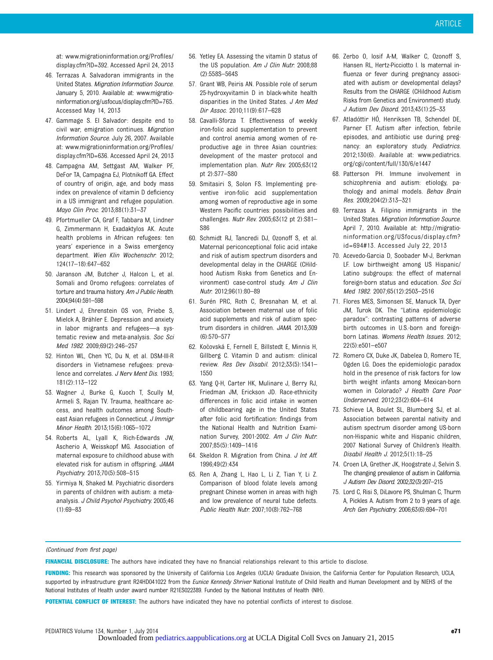at: [www.migrationinformation.org/Pro](http://www.migrationinformation.org/Profiles/display.cfm?ID=392)files/ [display.cfm?ID=392](http://www.migrationinformation.org/Profiles/display.cfm?ID=392). Accessed April 24, 2013

- 46. Terrazas A. Salvadoran immigrants in the United States. Migration Information Source. January 5, 2010. Available at: [www.migratio](http://www.migrationinformation.org/usfocus/display.cfm?ID=765)[ninformation.org/usfocus/display.cfm?ID=765.](http://www.migrationinformation.org/usfocus/display.cfm?ID=765) Accessed May 14, 2013
- 47. Gammage S. El Salvador: despite end to civil war, emigration continues. Migration Information Source. July 26, 2007. Available at: [www.migrationinformation.org/Pro](http://www.migrationinformation.org/Profiles/display.cfm?ID=636)files/ [display.cfm?ID=636](http://www.migrationinformation.org/Profiles/display.cfm?ID=636). Accessed April 24, 2013
- 48. Campagna AM, Settgast AM, Walker PF, DeFor TA, Campagna EJ, Plotnikoff GA. Effect of country of origin, age, and body mass index on prevalence of vitamin D deficiency in a US immigrant and refugee population. Mayo Clin Proc. 2013;88(1):31–37
- 49. Pfortmueller CA, Graf F, Tabbara M, Lindner G, Zimmermann H, Exadaktylos AK. Acute health problems in African refugees: ten years' experience in a Swiss emergency department. Wien Klin Wochenschr. 2012; 124(17–18):647–652
- 50. Jaranson JM, Butcher J, Halcon L, et al. Somali and Oromo refugees: correlates of torture and trauma history. Am J Public Health. 2004;94(4):591–598
- 51. Lindert J, Ehrenstein OS von, Priebe S, Mielck A, Brähler E. Depression and anxiety in labor migrants and refugees—a systematic review and meta-analysis. Soc Sci Med 1982. 2009;69(2):246–257
- 52. Hinton WL, Chen YC, Du N, et al. DSM-III-R disorders in Vietnamese refugees: prevalence and correlates. J Nerv Ment Dis. 1993; 181(2):113–122
- 53. Wagner J, Burke G, Kuoch T, Scully M, Armeli S, Rajan TV. Trauma, healthcare access, and health outcomes among Southeast Asian refugees in Connecticut. J Immigr Minor Health. 2013;15(6):1065–1072
- 54. Roberts AL, Lyall K, Rich-Edwards JW, Ascherio A, Weisskopf MG. Association of maternal exposure to childhood abuse with elevated risk for autism in offspring. JAMA Psychiatry. 2013;70(5):508–515
- 55. Yirmiya N, Shaked M. Psychiatric disorders in parents of children with autism: a metaanalysis. J Child Psychol Psychiatry. 2005;46 (1):69–83
- 56. Yetley EA. Assessing the vitamin D status of the US population. Am J Clin Nutr. 2008;88 (2):558S–564S
- 57. Grant WB, Peiris AN. Possible role of serum 25-hydroxyvitamin D in black-white health disparities in the United States. J Am Med Dir Assoc. 2010;11(9):617–628
- 58. Cavalli-Sforza T. Effectiveness of weekly iron-folic acid supplementation to prevent and control anemia among women of reproductive age in three Asian countries: development of the master protocol and implementation plan. Nutr Rev. 2005;63(12 pt 2):S77–S80
- 59. Smitasiri S, Solon FS. Implementing preventive iron-folic acid supplementation among women of reproductive age in some Western Pacific countries: possibilities and challenges. Nutr Rev. 2005;63(12 pt 2):S81– S86
- 60. Schmidt RJ, Tancredi DJ, Ozonoff S, et al. Maternal periconceptional folic acid intake and risk of autism spectrum disorders and developmental delay in the CHARGE (CHildhood Autism Risks from Genetics and Environment) case-control study. Am J Clin Nutr. 2012;96(1):80–89
- 61. Surén PRC, Roth C, Bresnahan M, et al. Association between maternal use of folic acid supplements and risk of autism spectrum disorders in children. JAMA. 2013;309 (6):570–577
- 62. Kočovská E, Fernell E, Billstedt E, Minnis H, Gillberg C. Vitamin D and autism: clinical review. Res Dev Disabil. 2012;33(5):1541– 1550
- 63. Yang Q-H, Carter HK, Mulinare J, Berry RJ, Friedman JM, Erickson JD. Race-ethnicity differences in folic acid intake in women of childbearing age in the United States after folic acid fortification: findings from the National Health and Nutrition Examination Survey, 2001-2002. Am J Clin Nutr. 2007;85(5):1409–1416
- 64. Skeldon R. Migration from China. J Int Aff. 1996;49(2):434
- 65. Ren A, Zhang L, Hao L, Li Z, Tian Y, Li Z. Comparison of blood folate levels among pregnant Chinese women in areas with high and low prevalence of neural tube defects. Public Health Nutr. 2007;10(8):762–768
- 66. Zerbo O, Iosif A-M, Walker C, Ozonoff S, Hansen RL, Hertz-Picciotto I. Is maternal influenza or fever during pregnancy associated with autism or developmental delays? Results from the CHARGE (CHildhood Autism Risks from Genetics and Environment) study. J Autism Dev Disord. 2013;43(1):25–33
- 67. Atladóttir HÓ, Henriksen TB, Schendel DE, Parner ET. Autism after infection, febrile episodes, and antibiotic use during pregnancy: an exploratory study. Pediatrics. 2012;130(6). Available at: [www.pediatrics.](http://www.pediatrics.org/cgi/content/full/130/6/e1447) [org/cgi/content/full/130/6/e1447](http://www.pediatrics.org/cgi/content/full/130/6/e1447)
- 68. Patterson PH. Immune involvement in schizophrenia and autism: etiology, pathology and animal models. Behav Brain Res. 2009;204(2):313–321
- 69. Terrazas A. Filipino immigrants in the United States. Migration Information Source. April 7, 2010. Available at: [http://migratio](http://migrationinformation.org/USfocus/display.cfm?id=694#13)[ninformation.org/USfocus/display.cfm?](http://migrationinformation.org/USfocus/display.cfm?id=694#13) [id=694#13.](http://migrationinformation.org/USfocus/display.cfm?id=694#13) Accessed July 22, 2013
- 70. Acevedo-Garcia D, Soobader M-J, Berkman LF. Low birthweight among US Hispanic/ Latino subgroups: the effect of maternal foreign-born status and education. Soc Sci Med 1982. 2007;65(12):2503–2516
- 71. Flores MES, Simonsen SE, Manuck TA, Dyer JM, Turok DK. The "Latina epidemiologic paradox": contrasting patterns of adverse birth outcomes in U.S.-born and foreignborn Latinas. Womens Health Issues. 2012; 22(5):e501–e507
- 72. Romero CX, Duke JK, Dabelea D, Romero TE, Ogden LG. Does the epidemiologic paradox hold in the presence of risk factors for low birth weight infants among Mexican-born women in Colorado? J Health Care Poor Underserved. 2012;23(2):604–614
- 73. Schieve LA, Boulet SL, Blumberg SJ, et al. Association between parental nativity and autism spectrum disorder among US-born non-Hispanic white and Hispanic children, 2007 National Survey of Children's Health. Disabil Health J. 2012;5(1):18–25
- 74. Croen LA, Grether JK, Hoogstrate J, Selvin S. The changing prevalence of autism in California. J Autism Dev Disord. 2002;32(3):207–215
- 75. Lord C, Risi S, DiLavore PS, Shulman C, Thurm A, Pickles A. Autism from 2 to 9 years of age. Arch Gen Psychiatry. 2006;63(6):694–701

#### (Continued from first page)

FINANCIAL DISCLOSURE: The authors have indicated they have no financial relationships relevant to this article to disclose.

FUNDING: This research was sponsored by the University of California Los Angeles (UCLA) Graduate Division, the California Center for Population Research, UCLA, supported by infrastructure grant R24HD041022 from the Eunice Kennedy Shriver National Institute of Child Health and Human Development and by NIEHS of the National Institutes of Health under award number R21ES022389. Funded by the National Institutes of Health (NIH).

POTENTIAL CONFLICT OF INTEREST: The authors have indicated they have no potential conflicts of interest to disclose.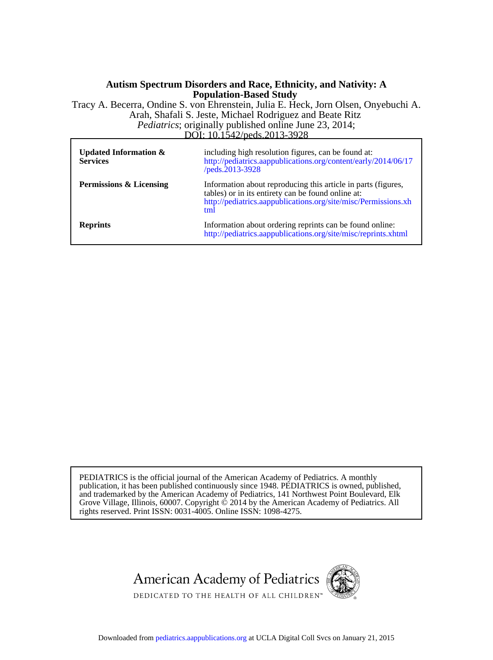#### **Population-Based Study Autism Spectrum Disorders and Race, Ethnicity, and Nativity: A**

DOI: 10.1542/peds.2013-3928 *Pediatrics*; originally published online June 23, 2014; Arah, Shafali S. Jeste, Michael Rodriguez and Beate Ritz Tracy A. Becerra, Ondine S. von Ehrenstein, Julia E. Heck, Jorn Olsen, Onyebuchi A.

| <b>Updated Information &amp;</b><br><b>Services</b> | including high resolution figures, can be found at:<br>http://pediatrics.aappublications.org/content/early/2014/06/17<br>/ $peds.2013-3928$                                                  |
|-----------------------------------------------------|----------------------------------------------------------------------------------------------------------------------------------------------------------------------------------------------|
| <b>Permissions &amp; Licensing</b>                  | Information about reproducing this article in parts (figures,<br>tables) or in its entirety can be found online at:<br>http://pediatrics.aappublications.org/site/misc/Permissions.xh<br>tml |
| <b>Reprints</b>                                     | Information about ordering reprints can be found online:<br>http://pediatrics.aappublications.org/site/misc/reprints.xhtml                                                                   |

rights reserved. Print ISSN: 0031-4005. Online ISSN: 1098-4275. Grove Village, Illinois, 60007. Copyright  $\acute{\odot}$  2014 by the American Academy of Pediatrics. All and trademarked by the American Academy of Pediatrics, 141 Northwest Point Boulevard, Elk publication, it has been published continuously since 1948. PEDIATRICS is owned, published, PEDIATRICS is the official journal of the American Academy of Pediatrics. A monthly



Downloaded from [pediatrics.aappublications.org](http://pediatrics.aappublications.org/) at UCLA Digital Coll Svcs on January 21, 2015